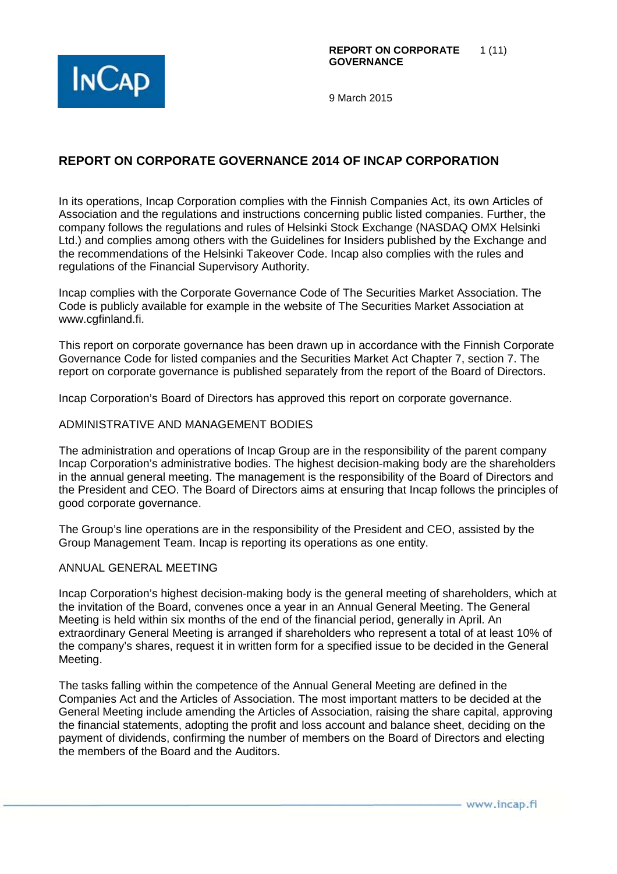

# **REPORT ON CORPORATE GOVERNANCE 2014 OF INCAP CORPORATION**

In its operations, Incap Corporation complies with the Finnish Companies Act, its own Articles of Association and the regulations and instructions concerning public listed companies. Further, the company follows the regulations and rules of Helsinki Stock Exchange (NASDAQ OMX Helsinki Ltd.) and complies among others with the Guidelines for Insiders published by the Exchange and the recommendations of the Helsinki Takeover Code. Incap also complies with the rules and regulations of the Financial Supervisory Authority.

Incap complies with the Corporate Governance Code of The Securities Market Association. The Code is publicly available for example in the website of The Securities Market Association at www.cgfinland.fi.

This report on corporate governance has been drawn up in accordance with the Finnish Corporate Governance Code for listed companies and the Securities Market Act Chapter 7, section 7. The report on corporate governance is published separately from the report of the Board of Directors.

Incap Corporation's Board of Directors has approved this report on corporate governance.

#### ADMINISTRATIVE AND MANAGEMENT BODIES

The administration and operations of Incap Group are in the responsibility of the parent company Incap Corporation's administrative bodies. The highest decision-making body are the shareholders in the annual general meeting. The management is the responsibility of the Board of Directors and the President and CEO. The Board of Directors aims at ensuring that Incap follows the principles of good corporate governance.

The Group's line operations are in the responsibility of the President and CEO, assisted by the Group Management Team. Incap is reporting its operations as one entity.

#### ANNUAL GENERAL MEETING

Incap Corporation's highest decision-making body is the general meeting of shareholders, which at the invitation of the Board, convenes once a year in an Annual General Meeting. The General Meeting is held within six months of the end of the financial period, generally in April. An extraordinary General Meeting is arranged if shareholders who represent a total of at least 10% of the company's shares, request it in written form for a specified issue to be decided in the General Meeting.

The tasks falling within the competence of the Annual General Meeting are defined in the Companies Act and the Articles of Association. The most important matters to be decided at the General Meeting include amending the Articles of Association, raising the share capital, approving the financial statements, adopting the profit and loss account and balance sheet, deciding on the payment of dividends, confirming the number of members on the Board of Directors and electing the members of the Board and the Auditors.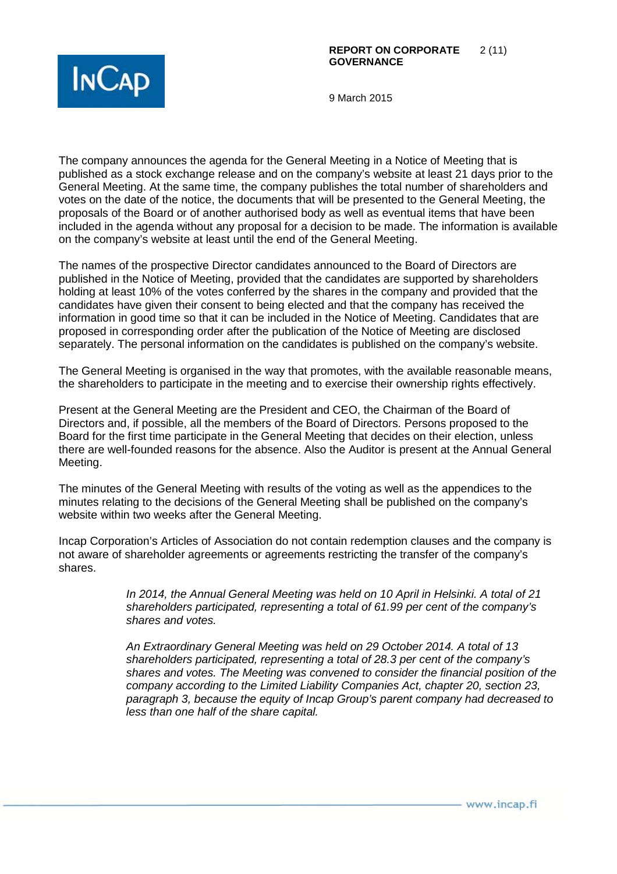

The company announces the agenda for the General Meeting in a Notice of Meeting that is published as a stock exchange release and on the company's website at least 21 days prior to the General Meeting. At the same time, the company publishes the total number of shareholders and votes on the date of the notice, the documents that will be presented to the General Meeting, the proposals of the Board or of another authorised body as well as eventual items that have been included in the agenda without any proposal for a decision to be made. The information is available on the company's website at least until the end of the General Meeting.

The names of the prospective Director candidates announced to the Board of Directors are published in the Notice of Meeting, provided that the candidates are supported by shareholders holding at least 10% of the votes conferred by the shares in the company and provided that the candidates have given their consent to being elected and that the company has received the information in good time so that it can be included in the Notice of Meeting. Candidates that are proposed in corresponding order after the publication of the Notice of Meeting are disclosed separately. The personal information on the candidates is published on the company's website.

The General Meeting is organised in the way that promotes, with the available reasonable means, the shareholders to participate in the meeting and to exercise their ownership rights effectively.

Present at the General Meeting are the President and CEO, the Chairman of the Board of Directors and, if possible, all the members of the Board of Directors. Persons proposed to the Board for the first time participate in the General Meeting that decides on their election, unless there are well-founded reasons for the absence. Also the Auditor is present at the Annual General Meeting.

The minutes of the General Meeting with results of the voting as well as the appendices to the minutes relating to the decisions of the General Meeting shall be published on the company's website within two weeks after the General Meeting.

Incap Corporation's Articles of Association do not contain redemption clauses and the company is not aware of shareholder agreements or agreements restricting the transfer of the company's shares.

> In 2014, the Annual General Meeting was held on 10 April in Helsinki. A total of 21 shareholders participated, representing a total of 61.99 per cent of the company's shares and votes.

An Extraordinary General Meeting was held on 29 October 2014. A total of 13 shareholders participated, representing a total of 28.3 per cent of the company's shares and votes. The Meeting was convened to consider the financial position of the company according to the Limited Liability Companies Act, chapter 20, section 23, paragraph 3, because the equity of Incap Group's parent company had decreased to less than one half of the share capital.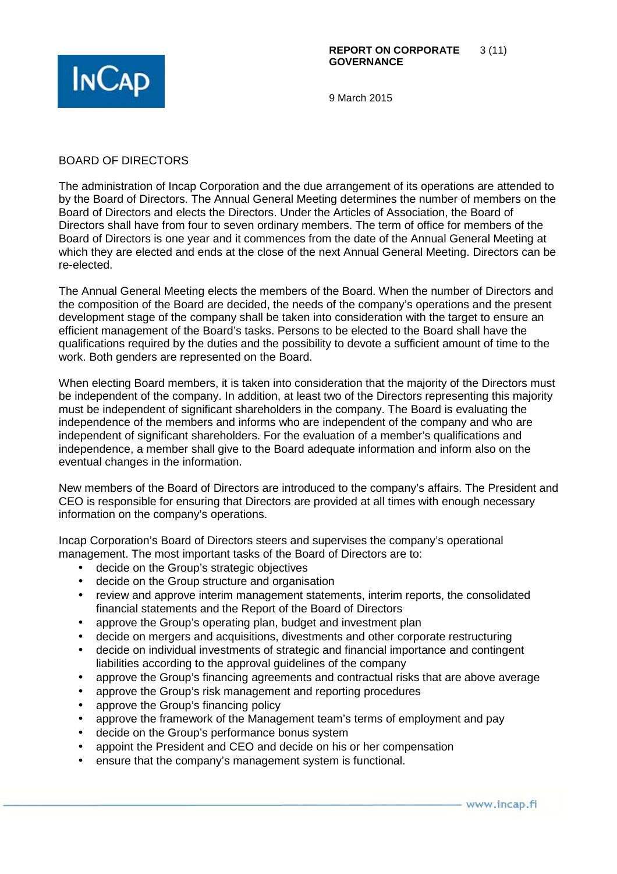

## BOARD OF DIRECTORS

The administration of Incap Corporation and the due arrangement of its operations are attended to by the Board of Directors. The Annual General Meeting determines the number of members on the Board of Directors and elects the Directors. Under the Articles of Association, the Board of Directors shall have from four to seven ordinary members. The term of office for members of the Board of Directors is one year and it commences from the date of the Annual General Meeting at which they are elected and ends at the close of the next Annual General Meeting. Directors can be re-elected.

The Annual General Meeting elects the members of the Board. When the number of Directors and the composition of the Board are decided, the needs of the company's operations and the present development stage of the company shall be taken into consideration with the target to ensure an efficient management of the Board's tasks. Persons to be elected to the Board shall have the qualifications required by the duties and the possibility to devote a sufficient amount of time to the work. Both genders are represented on the Board.

When electing Board members, it is taken into consideration that the majority of the Directors must be independent of the company. In addition, at least two of the Directors representing this majority must be independent of significant shareholders in the company. The Board is evaluating the independence of the members and informs who are independent of the company and who are independent of significant shareholders. For the evaluation of a member's qualifications and independence, a member shall give to the Board adequate information and inform also on the eventual changes in the information.

New members of the Board of Directors are introduced to the company's affairs. The President and CEO is responsible for ensuring that Directors are provided at all times with enough necessary information on the company's operations.

Incap Corporation's Board of Directors steers and supervises the company's operational management. The most important tasks of the Board of Directors are to:

- decide on the Group's strategic objectives
- decide on the Group structure and organisation
- review and approve interim management statements, interim reports, the consolidated financial statements and the Report of the Board of Directors
- approve the Group's operating plan, budget and investment plan
- decide on mergers and acquisitions, divestments and other corporate restructuring
- decide on individual investments of strategic and financial importance and contingent liabilities according to the approval guidelines of the company
- approve the Group's financing agreements and contractual risks that are above average
- approve the Group's risk management and reporting procedures
- approve the Group's financing policy
- approve the framework of the Management team's terms of employment and pay
- decide on the Group's performance bonus system
- appoint the President and CEO and decide on his or her compensation
- ensure that the company's management system is functional.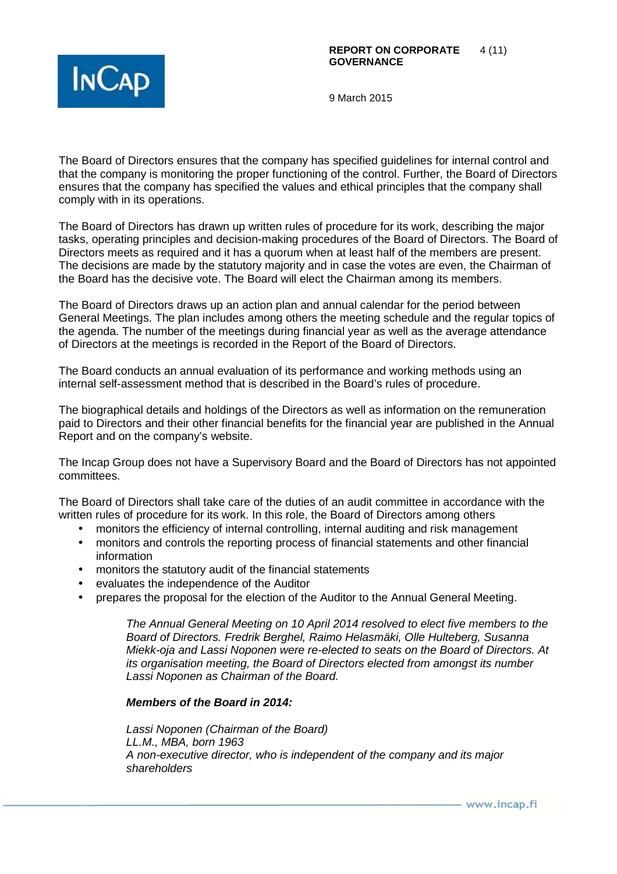

The Board of Directors ensures that the company has specified guidelines for internal control and that the company is monitoring the proper functioning of the control. Further, the Board of Directors ensures that the company has specified the values and ethical principles that the company shall comply with in its operations.

The Board of Directors has drawn up written rules of procedure for its work, describing the major tasks, operating principles and decision-making procedures of the Board of Directors. The Board of Directors meets as required and it has a quorum when at least half of the members are present. The decisions are made by the statutory majority and in case the votes are even, the Chairman of the Board has the decisive vote. The Board will elect the Chairman among its members.

The Board of Directors draws up an action plan and annual calendar for the period between General Meetings. The plan includes among others the meeting schedule and the regular topics of the agenda. The number of the meetings during financial year as well as the average attendance of Directors at the meetings is recorded in the Report of the Board of Directors.

The Board conducts an annual evaluation of its performance and working methods using an internal self-assessment method that is described in the Board's rules of procedure.

The biographical details and holdings of the Directors as well as information on the remuneration paid to Directors and their other financial benefits for the financial year are published in the Annual Report and on the company's website.

The Incap Group does not have a Supervisory Board and the Board of Directors has not appointed committees.

The Board of Directors shall take care of the duties of an audit committee in accordance with the written rules of procedure for its work. In this role, the Board of Directors among others

- monitors the efficiency of internal controlling, internal auditing and risk management
- monitors and controls the reporting process of financial statements and other financial information
- monitors the statutory audit of the financial statements
- evaluates the independence of the Auditor
- prepares the proposal for the election of the Auditor to the Annual General Meeting.

The Annual General Meeting on 10 April 2014 resolved to elect five members to the Board of Directors. Fredrik Berghel, Raimo Helasmäki, Olle Hulteberg, Susanna Miekk-oja and Lassi Noponen were re-elected to seats on the Board of Directors. At its organisation meeting, the Board of Directors elected from amongst its number Lassi Noponen as Chairman of the Board.

#### **Members of the Board in 2014:**

Lassi Noponen (Chairman of the Board) LL.M., MBA, born 1963 A non-executive director, who is independent of the company and its major shareholders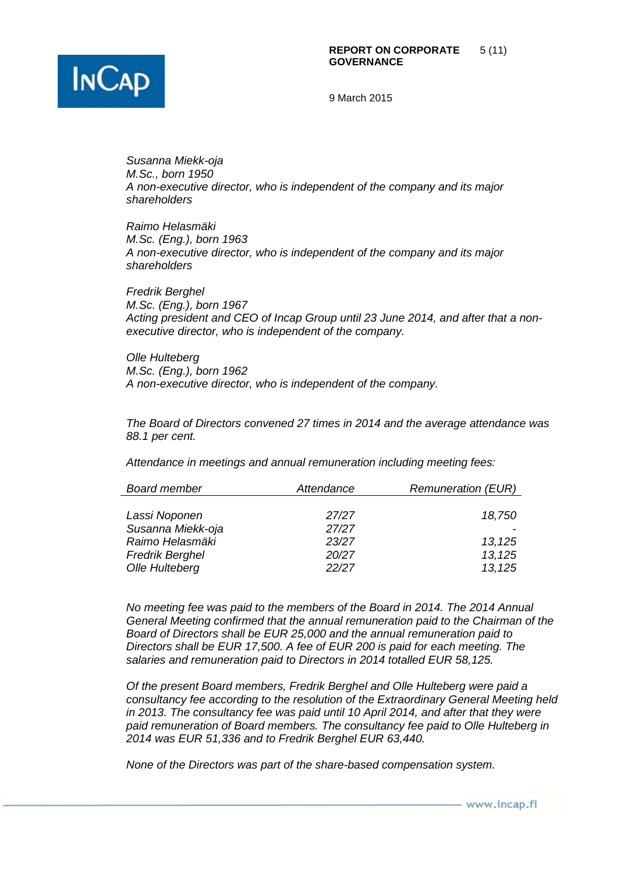

Susanna Miekk-oja M.Sc., born 1950 A non-executive director, who is independent of the company and its major shareholders

Raimo Helasmäki M.Sc. (Eng.), born 1963 A non-executive director, who is independent of the company and its major shareholders

Fredrik Berghel M.Sc. (Eng.), born 1967 Acting president and CEO of Incap Group until 23 June 2014, and after that a nonexecutive director, who is independent of the company.

Olle Hulteberg M.Sc. (Eng.), born 1962 A non-executive director, who is independent of the company.

The Board of Directors convened 27 times in 2014 and the average attendance was 88.1 per cent.

Attendance in meetings and annual remuneration including meeting fees:

| <b>Board member</b>    | Attendance | <b>Remuneration (EUR)</b> |
|------------------------|------------|---------------------------|
|                        |            |                           |
| Lassi Noponen          | 27/27      | 18,750                    |
| Susanna Miekk-oja      | 27/27      |                           |
| Raimo Helasmäki        | 23/27      | 13,125                    |
| <b>Fredrik Berghel</b> | 20/27      | 13,125                    |
| Olle Hulteberg         | 22/27      | 13,125                    |

No meeting fee was paid to the members of the Board in 2014. The 2014 Annual General Meeting confirmed that the annual remuneration paid to the Chairman of the Board of Directors shall be EUR 25,000 and the annual remuneration paid to Directors shall be EUR 17,500. A fee of EUR 200 is paid for each meeting. The salaries and remuneration paid to Directors in 2014 totalled EUR 58,125.

Of the present Board members, Fredrik Berghel and Olle Hulteberg were paid a consultancy fee according to the resolution of the Extraordinary General Meeting held in 2013. The consultancy fee was paid until 10 April 2014, and after that they were paid remuneration of Board members. The consultancy fee paid to Olle Hulteberg in 2014 was EUR 51,336 and to Fredrik Berghel EUR 63,440.

None of the Directors was part of the share-based compensation system.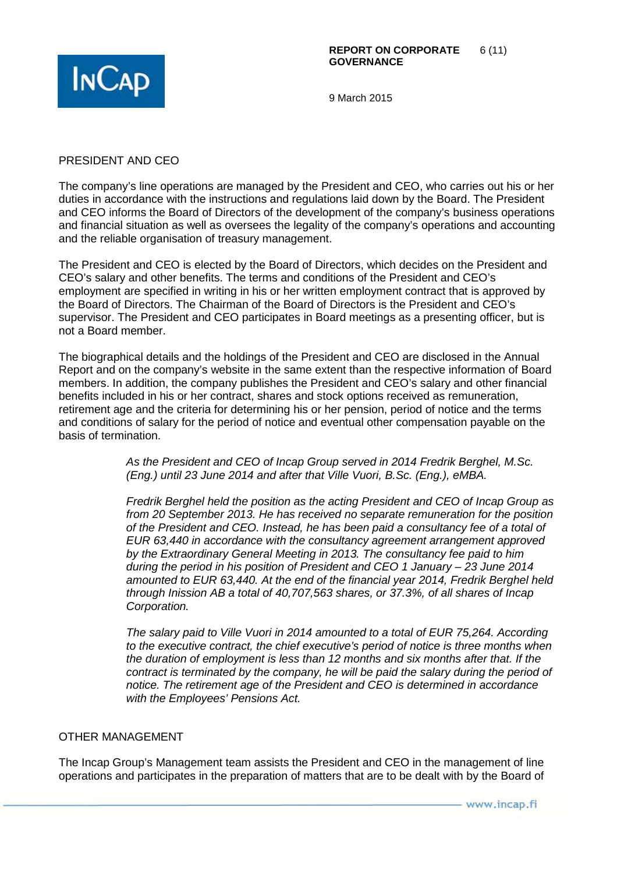

### PRESIDENT AND CEO

The company's line operations are managed by the President and CEO, who carries out his or her duties in accordance with the instructions and regulations laid down by the Board. The President and CEO informs the Board of Directors of the development of the company's business operations and financial situation as well as oversees the legality of the company's operations and accounting and the reliable organisation of treasury management.

The President and CEO is elected by the Board of Directors, which decides on the President and CEO's salary and other benefits. The terms and conditions of the President and CEO's employment are specified in writing in his or her written employment contract that is approved by the Board of Directors. The Chairman of the Board of Directors is the President and CEO's supervisor. The President and CEO participates in Board meetings as a presenting officer, but is not a Board member.

The biographical details and the holdings of the President and CEO are disclosed in the Annual Report and on the company's website in the same extent than the respective information of Board members. In addition, the company publishes the President and CEO's salary and other financial benefits included in his or her contract, shares and stock options received as remuneration, retirement age and the criteria for determining his or her pension, period of notice and the terms and conditions of salary for the period of notice and eventual other compensation payable on the basis of termination.

> As the President and CEO of Incap Group served in 2014 Fredrik Berghel, M.Sc. (Eng.) until 23 June 2014 and after that Ville Vuori, B.Sc. (Eng.), eMBA.

Fredrik Berghel held the position as the acting President and CEO of Incap Group as from 20 September 2013. He has received no separate remuneration for the position of the President and CEO. Instead, he has been paid a consultancy fee of a total of EUR 63,440 in accordance with the consultancy agreement arrangement approved by the Extraordinary General Meeting in 2013. The consultancy fee paid to him during the period in his position of President and CEO 1 January – 23 June 2014 amounted to EUR 63,440. At the end of the financial year 2014, Fredrik Berghel held through Inission AB a total of 40,707,563 shares, or 37.3%, of all shares of Incap Corporation.

The salary paid to Ville Vuori in 2014 amounted to a total of EUR 75,264. According to the executive contract, the chief executive's period of notice is three months when the duration of employment is less than 12 months and six months after that. If the contract is terminated by the company, he will be paid the salary during the period of notice. The retirement age of the President and CEO is determined in accordance with the Employees' Pensions Act.

#### OTHER MANAGEMENT

The Incap Group's Management team assists the President and CEO in the management of line operations and participates in the preparation of matters that are to be dealt with by the Board of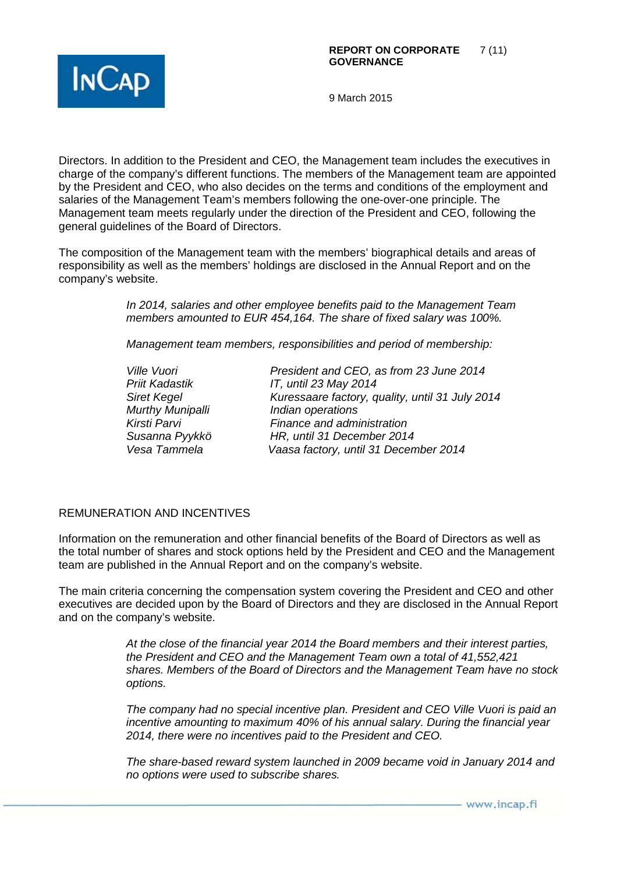

Directors. In addition to the President and CEO, the Management team includes the executives in charge of the company's different functions. The members of the Management team are appointed by the President and CEO, who also decides on the terms and conditions of the employment and salaries of the Management Team's members following the one-over-one principle. The Management team meets regularly under the direction of the President and CEO, following the general guidelines of the Board of Directors.

The composition of the Management team with the members' biographical details and areas of responsibility as well as the members' holdings are disclosed in the Annual Report and on the company's website.

> In 2014, salaries and other employee benefits paid to the Management Team members amounted to EUR 454,164. The share of fixed salary was 100%.

Management team members, responsibilities and period of membership:

Murthy Munipalli **Indian operations** 

Ville Vuori **President and CEO, as from 23 June 2014**<br>Priit Kadastik **Princes CEO, Princes CO** 17, until 23 May 2014 IT, until 23 May 2014 Siret Kegel **Kuressaare factory, quality, until 31 July 2014** Kirsti Parvi **Finance and administration** Susanna Pyykkö HR, until 31 December 2014 Vesa Tammela Vaasa factory, until 31 December 2014

## REMUNERATION AND INCENTIVES

Information on the remuneration and other financial benefits of the Board of Directors as well as the total number of shares and stock options held by the President and CEO and the Management team are published in the Annual Report and on the company's website.

The main criteria concerning the compensation system covering the President and CEO and other executives are decided upon by the Board of Directors and they are disclosed in the Annual Report and on the company's website.

> At the close of the financial year 2014 the Board members and their interest parties, the President and CEO and the Management Team own a total of 41,552,421 shares. Members of the Board of Directors and the Management Team have no stock options.

> The company had no special incentive plan. President and CEO Ville Vuori is paid an incentive amounting to maximum 40% of his annual salary. During the financial year 2014, there were no incentives paid to the President and CEO.

> The share-based reward system launched in 2009 became void in January 2014 and no options were used to subscribe shares.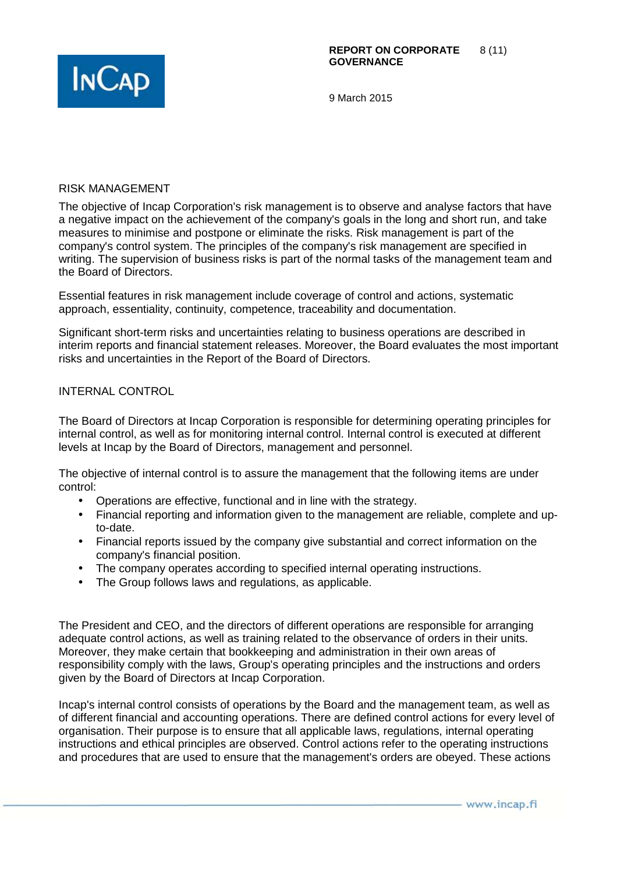

#### RISK MANAGEMENT

The objective of Incap Corporation's risk management is to observe and analyse factors that have a negative impact on the achievement of the company's goals in the long and short run, and take measures to minimise and postpone or eliminate the risks. Risk management is part of the company's control system. The principles of the company's risk management are specified in writing. The supervision of business risks is part of the normal tasks of the management team and the Board of Directors.

Essential features in risk management include coverage of control and actions, systematic approach, essentiality, continuity, competence, traceability and documentation.

Significant short-term risks and uncertainties relating to business operations are described in interim reports and financial statement releases. Moreover, the Board evaluates the most important risks and uncertainties in the Report of the Board of Directors.

### INTERNAL CONTROL

The Board of Directors at Incap Corporation is responsible for determining operating principles for internal control, as well as for monitoring internal control. Internal control is executed at different levels at Incap by the Board of Directors, management and personnel.

The objective of internal control is to assure the management that the following items are under control:

- Operations are effective, functional and in line with the strategy.
- Financial reporting and information given to the management are reliable, complete and upto-date.
- Financial reports issued by the company give substantial and correct information on the company's financial position.
- The company operates according to specified internal operating instructions.
- The Group follows laws and regulations, as applicable.

The President and CEO, and the directors of different operations are responsible for arranging adequate control actions, as well as training related to the observance of orders in their units. Moreover, they make certain that bookkeeping and administration in their own areas of responsibility comply with the laws, Group's operating principles and the instructions and orders given by the Board of Directors at Incap Corporation.

Incap's internal control consists of operations by the Board and the management team, as well as of different financial and accounting operations. There are defined control actions for every level of organisation. Their purpose is to ensure that all applicable laws, regulations, internal operating instructions and ethical principles are observed. Control actions refer to the operating instructions and procedures that are used to ensure that the management's orders are obeyed. These actions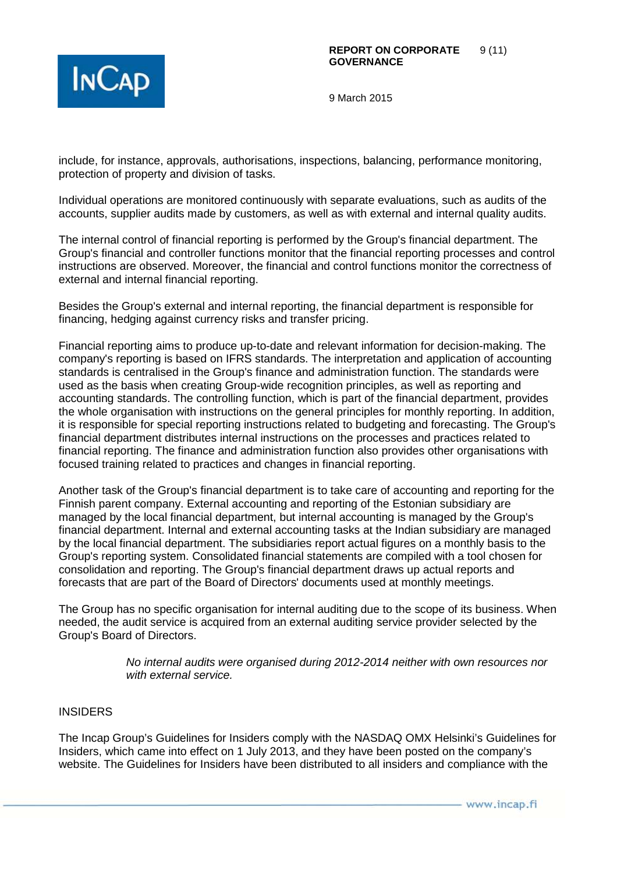

include, for instance, approvals, authorisations, inspections, balancing, performance monitoring, protection of property and division of tasks.

Individual operations are monitored continuously with separate evaluations, such as audits of the accounts, supplier audits made by customers, as well as with external and internal quality audits.

The internal control of financial reporting is performed by the Group's financial department. The Group's financial and controller functions monitor that the financial reporting processes and control instructions are observed. Moreover, the financial and control functions monitor the correctness of external and internal financial reporting.

Besides the Group's external and internal reporting, the financial department is responsible for financing, hedging against currency risks and transfer pricing.

Financial reporting aims to produce up-to-date and relevant information for decision-making. The company's reporting is based on IFRS standards. The interpretation and application of accounting standards is centralised in the Group's finance and administration function. The standards were used as the basis when creating Group-wide recognition principles, as well as reporting and accounting standards. The controlling function, which is part of the financial department, provides the whole organisation with instructions on the general principles for monthly reporting. In addition, it is responsible for special reporting instructions related to budgeting and forecasting. The Group's financial department distributes internal instructions on the processes and practices related to financial reporting. The finance and administration function also provides other organisations with focused training related to practices and changes in financial reporting.

Another task of the Group's financial department is to take care of accounting and reporting for the Finnish parent company. External accounting and reporting of the Estonian subsidiary are managed by the local financial department, but internal accounting is managed by the Group's financial department. Internal and external accounting tasks at the Indian subsidiary are managed by the local financial department. The subsidiaries report actual figures on a monthly basis to the Group's reporting system. Consolidated financial statements are compiled with a tool chosen for consolidation and reporting. The Group's financial department draws up actual reports and forecasts that are part of the Board of Directors' documents used at monthly meetings.

The Group has no specific organisation for internal auditing due to the scope of its business. When needed, the audit service is acquired from an external auditing service provider selected by the Group's Board of Directors.

> No internal audits were organised during 2012-2014 neither with own resources nor with external service.

# INSIDERS

The Incap Group's Guidelines for Insiders comply with the NASDAQ OMX Helsinki's Guidelines for Insiders, which came into effect on 1 July 2013, and they have been posted on the company's website. The Guidelines for Insiders have been distributed to all insiders and compliance with the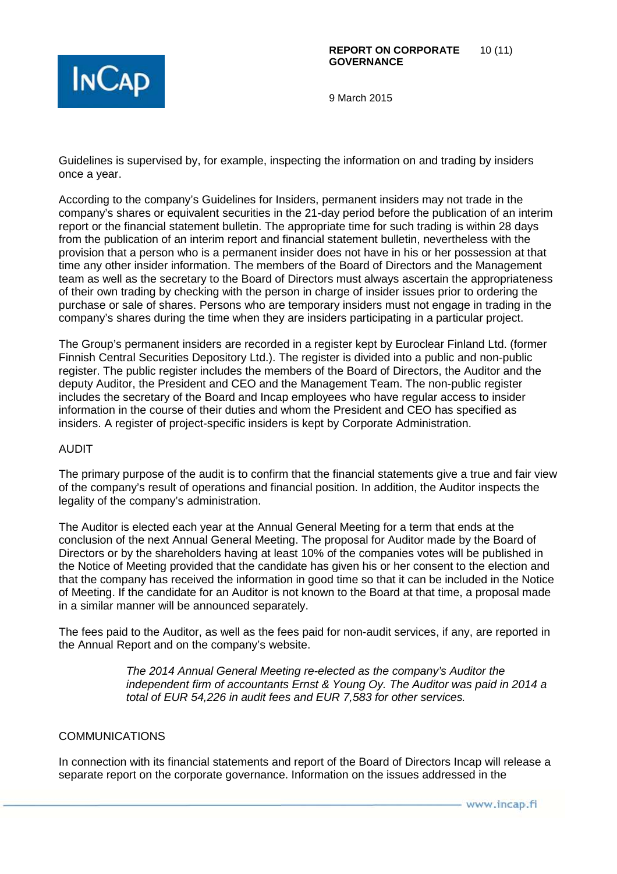

Guidelines is supervised by, for example, inspecting the information on and trading by insiders once a year.

According to the company's Guidelines for Insiders, permanent insiders may not trade in the company's shares or equivalent securities in the 21-day period before the publication of an interim report or the financial statement bulletin. The appropriate time for such trading is within 28 days from the publication of an interim report and financial statement bulletin, nevertheless with the provision that a person who is a permanent insider does not have in his or her possession at that time any other insider information. The members of the Board of Directors and the Management team as well as the secretary to the Board of Directors must always ascertain the appropriateness of their own trading by checking with the person in charge of insider issues prior to ordering the purchase or sale of shares. Persons who are temporary insiders must not engage in trading in the company's shares during the time when they are insiders participating in a particular project.

The Group's permanent insiders are recorded in a register kept by Euroclear Finland Ltd. (former Finnish Central Securities Depository Ltd.). The register is divided into a public and non-public register. The public register includes the members of the Board of Directors, the Auditor and the deputy Auditor, the President and CEO and the Management Team. The non-public register includes the secretary of the Board and Incap employees who have regular access to insider information in the course of their duties and whom the President and CEO has specified as insiders. A register of project-specific insiders is kept by Corporate Administration.

## AUDIT

The primary purpose of the audit is to confirm that the financial statements give a true and fair view of the company's result of operations and financial position. In addition, the Auditor inspects the legality of the company's administration.

The Auditor is elected each year at the Annual General Meeting for a term that ends at the conclusion of the next Annual General Meeting. The proposal for Auditor made by the Board of Directors or by the shareholders having at least 10% of the companies votes will be published in the Notice of Meeting provided that the candidate has given his or her consent to the election and that the company has received the information in good time so that it can be included in the Notice of Meeting. If the candidate for an Auditor is not known to the Board at that time, a proposal made in a similar manner will be announced separately.

The fees paid to the Auditor, as well as the fees paid for non-audit services, if any, are reported in the Annual Report and on the company's website.

> The 2014 Annual General Meeting re-elected as the company's Auditor the independent firm of accountants Ernst & Young Oy. The Auditor was paid in 2014 a total of EUR 54,226 in audit fees and EUR 7,583 for other services.

#### COMMUNICATIONS

In connection with its financial statements and report of the Board of Directors Incap will release a separate report on the corporate governance. Information on the issues addressed in the